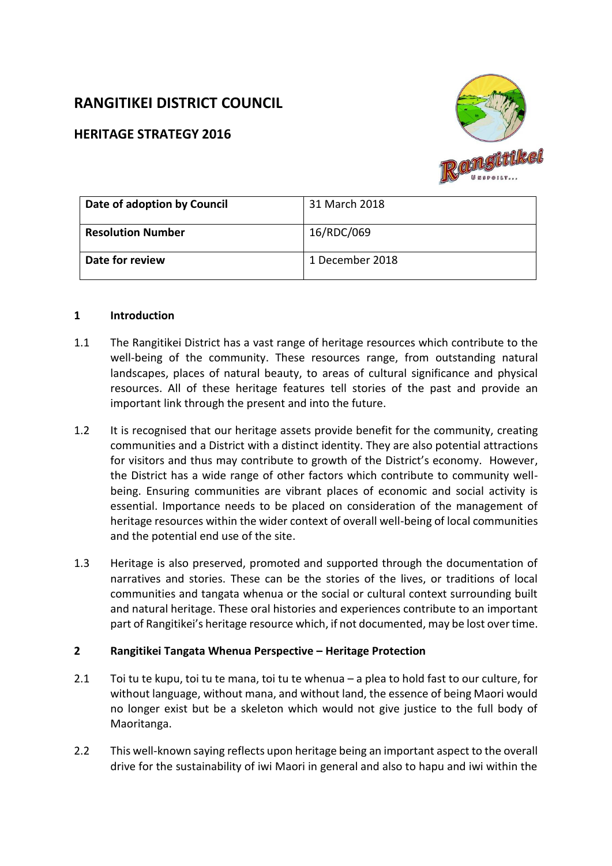# **RANGITIKEI DISTRICT COUNCIL**

## **HERITAGE STRATEGY 2016**



| Date of adoption by Council | 31 March 2018   |
|-----------------------------|-----------------|
| <b>Resolution Number</b>    | 16/RDC/069      |
| Date for review             | 1 December 2018 |

#### **1 Introduction**

- 1.1 The Rangitikei District has a vast range of heritage resources which contribute to the well-being of the community. These resources range, from outstanding natural landscapes, places of natural beauty, to areas of cultural significance and physical resources. All of these heritage features tell stories of the past and provide an important link through the present and into the future.
- 1.2 It is recognised that our heritage assets provide benefit for the community, creating communities and a District with a distinct identity. They are also potential attractions for visitors and thus may contribute to growth of the District's economy. However, the District has a wide range of other factors which contribute to community wellbeing. Ensuring communities are vibrant places of economic and social activity is essential. Importance needs to be placed on consideration of the management of heritage resources within the wider context of overall well-being of local communities and the potential end use of the site.
- 1.3 Heritage is also preserved, promoted and supported through the documentation of narratives and stories. These can be the stories of the lives, or traditions of local communities and tangata whenua or the social or cultural context surrounding built and natural heritage. These oral histories and experiences contribute to an important part of Rangitikei's heritage resource which, if not documented, may be lost over time.

## **2 Rangitikei Tangata Whenua Perspective – Heritage Protection**

- 2.1 Toi tu te kupu, toi tu te mana, toi tu te whenua a plea to hold fast to our culture, for without language, without mana, and without land, the essence of being Maori would no longer exist but be a skeleton which would not give justice to the full body of Maoritanga.
- 2.2 This well-known saying reflects upon heritage being an important aspect to the overall drive for the sustainability of iwi Maori in general and also to hapu and iwi within the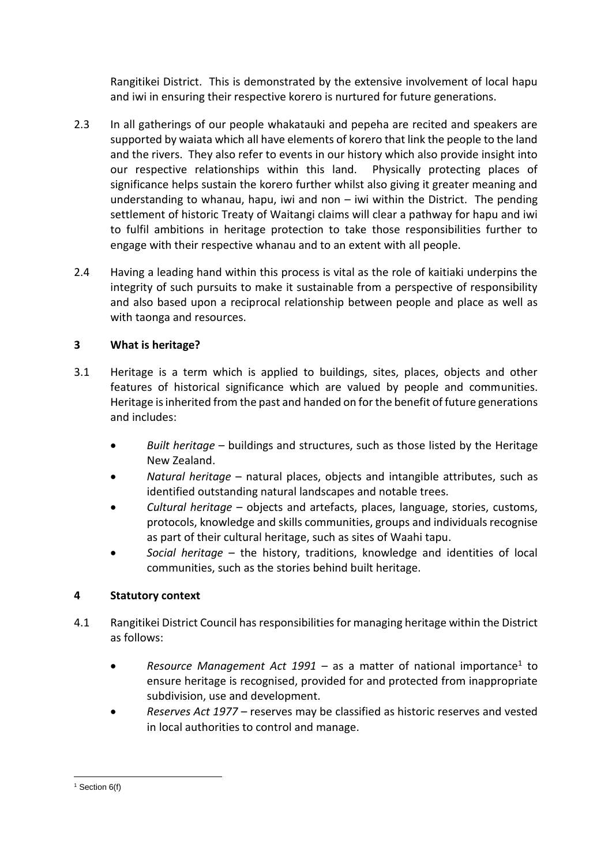Rangitikei District. This is demonstrated by the extensive involvement of local hapu and iwi in ensuring their respective korero is nurtured for future generations.

- 2.3 In all gatherings of our people whakatauki and pepeha are recited and speakers are supported by waiata which all have elements of korero that link the people to the land and the rivers. They also refer to events in our history which also provide insight into our respective relationships within this land. Physically protecting places of significance helps sustain the korero further whilst also giving it greater meaning and understanding to whanau, hapu, iwi and non – iwi within the District. The pending settlement of historic Treaty of Waitangi claims will clear a pathway for hapu and iwi to fulfil ambitions in heritage protection to take those responsibilities further to engage with their respective whanau and to an extent with all people.
- 2.4 Having a leading hand within this process is vital as the role of kaitiaki underpins the integrity of such pursuits to make it sustainable from a perspective of responsibility and also based upon a reciprocal relationship between people and place as well as with taonga and resources.

## **3 What is heritage?**

- 3.1 Heritage is a term which is applied to buildings, sites, places, objects and other features of historical significance which are valued by people and communities. Heritage is inherited from the past and handed on for the benefit of future generations and includes:
	- *Built heritage* buildings and structures, such as those listed by the Heritage New Zealand.
	- *Natural heritage* natural places, objects and intangible attributes, such as identified outstanding natural landscapes and notable trees.
	- *Cultural heritage* objects and artefacts, places, language, stories, customs, protocols, knowledge and skills communities, groups and individuals recognise as part of their cultural heritage, such as sites of Waahi tapu.
	- *Social heritage* the history, traditions, knowledge and identities of local communities, such as the stories behind built heritage.

## **4 Statutory context**

- 4.1 Rangitikei District Council has responsibilities for managing heritage within the District as follows:
	- Resource Management Act 1991 as a matter of national importance<sup>1</sup> to ensure heritage is recognised, provided for and protected from inappropriate subdivision, use and development.
	- *Reserves Act 1977* reserves may be classified as historic reserves and vested in local authorities to control and manage.

<sup>1</sup>  $1$  Section 6(f)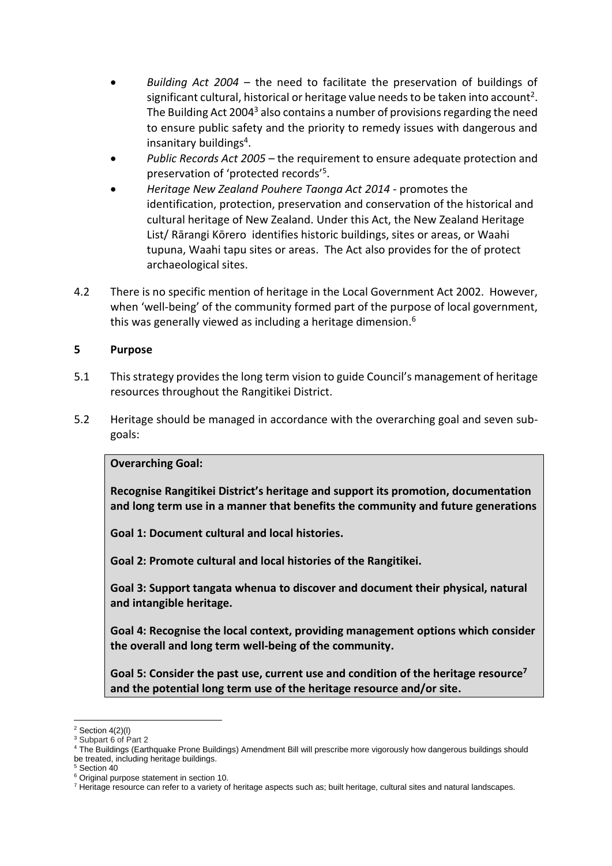- *Building Act 2004* the need to facilitate the preservation of buildings of significant cultural, historical or heritage value needs to be taken into account<sup>2</sup>. The Building Act 2004<sup>3</sup> also contains a number of provisions regarding the need to ensure public safety and the priority to remedy issues with dangerous and insanitary buildings<sup>4</sup>.
- *Public Records Act 2005* the requirement to ensure adequate protection and preservation of 'protected records'<sup>5</sup> .
- *Heritage New Zealand Pouhere Taonga Act 2014 -* promotes the identification, protection, preservation and conservation of the historical and cultural heritage of New Zealand. Under this Act, the New Zealand Heritage List/ Rārangi Kōrero identifies historic buildings, sites or areas, or Waahi tupuna, Waahi tapu sites or areas. The Act also provides for the of protect archaeological sites.
- 4.2 There is no specific mention of heritage in the Local Government Act 2002. However, when 'well-being' of the community formed part of the purpose of local government, this was generally viewed as including a heritage dimension.<sup>6</sup>

## **5 Purpose**

- 5.1 This strategy provides the long term vision to guide Council's management of heritage resources throughout the Rangitikei District.
- 5.2 Heritage should be managed in accordance with the overarching goal and seven subgoals:

## **Overarching Goal:**

**Recognise Rangitikei District's heritage and support its promotion, documentation and long term use in a manner that benefits the community and future generations**

**Goal 1: Document cultural and local histories.**

**Goal 2: Promote cultural and local histories of the Rangitikei.**

**Goal 3: Support tangata whenua to discover and document their physical, natural and intangible heritage.**

**Goal 4: Recognise the local context, providing management options which consider the overall and long term well-being of the community.**

**Goal 5: Consider the past use, current use and condition of the heritage resource<sup>7</sup> and the potential long term use of the heritage resource and/or site.**

<sup>5</sup> Section 40

1

 $2$  Section 4(2)(l)

<sup>&</sup>lt;sup>3</sup> Subpart 6 of Part 2

<sup>4</sup> The Buildings (Earthquake Prone Buildings) Amendment Bill will prescribe more vigorously how dangerous buildings should be treated, including heritage buildings.

<sup>6</sup> Original purpose statement in section 10.

<sup>7</sup> Heritage resource can refer to a variety of heritage aspects such as; built heritage, cultural sites and natural landscapes.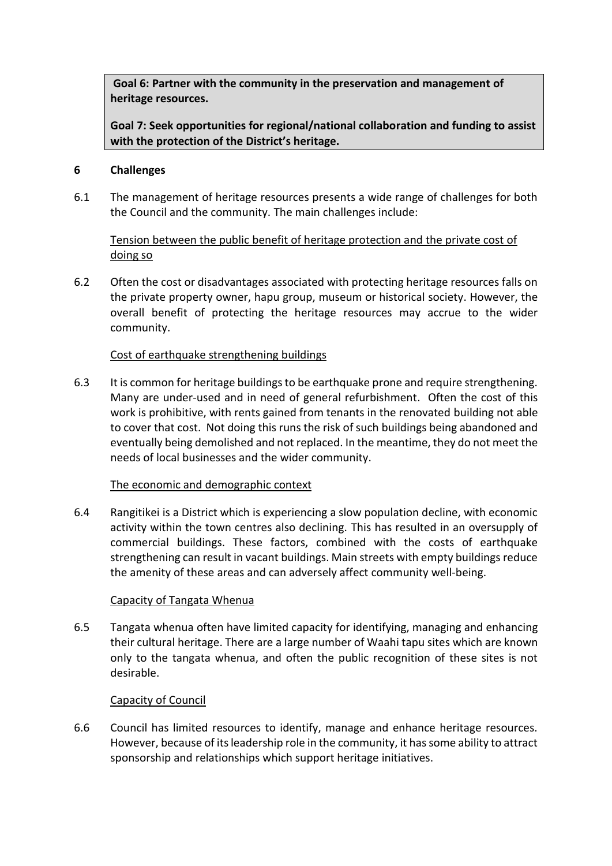**Goal 6: Partner with the community in the preservation and management of heritage resources.**

**Goal 7: Seek opportunities for regional/national collaboration and funding to assist with the protection of the District's heritage.**

#### **6 Challenges**

6.1 The management of heritage resources presents a wide range of challenges for both the Council and the community. The main challenges include:

## Tension between the public benefit of heritage protection and the private cost of doing so

6.2 Often the cost or disadvantages associated with protecting heritage resources falls on the private property owner, hapu group, museum or historical society. However, the overall benefit of protecting the heritage resources may accrue to the wider community.

## Cost of earthquake strengthening buildings

6.3 It is common for heritage buildingsto be earthquake prone and require strengthening. Many are under-used and in need of general refurbishment. Often the cost of this work is prohibitive, with rents gained from tenants in the renovated building not able to cover that cost. Not doing this runs the risk of such buildings being abandoned and eventually being demolished and not replaced. In the meantime, they do not meet the needs of local businesses and the wider community.

## The economic and demographic context

6.4 Rangitikei is a District which is experiencing a slow population decline, with economic activity within the town centres also declining. This has resulted in an oversupply of commercial buildings. These factors, combined with the costs of earthquake strengthening can result in vacant buildings. Main streets with empty buildings reduce the amenity of these areas and can adversely affect community well-being.

#### Capacity of Tangata Whenua

6.5 Tangata whenua often have limited capacity for identifying, managing and enhancing their cultural heritage. There are a large number of Waahi tapu sites which are known only to the tangata whenua, and often the public recognition of these sites is not desirable.

## Capacity of Council

6.6 Council has limited resources to identify, manage and enhance heritage resources. However, because of its leadership role in the community, it has some ability to attract sponsorship and relationships which support heritage initiatives.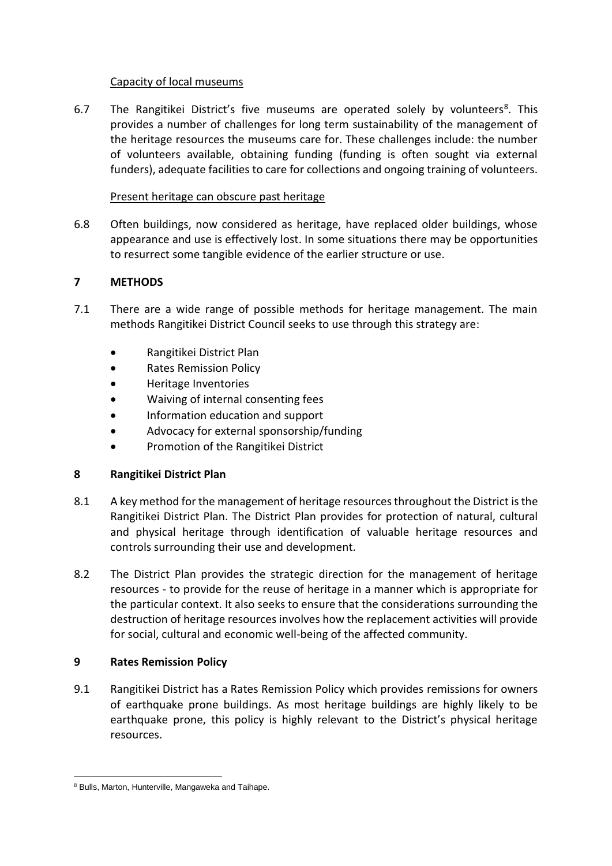#### Capacity of local museums

6.7 The Rangitikei District's five museums are operated solely by volunteers<sup>8</sup>. This provides a number of challenges for long term sustainability of the management of the heritage resources the museums care for. These challenges include: the number of volunteers available, obtaining funding (funding is often sought via external funders), adequate facilities to care for collections and ongoing training of volunteers.

### Present heritage can obscure past heritage

6.8 Often buildings, now considered as heritage, have replaced older buildings, whose appearance and use is effectively lost. In some situations there may be opportunities to resurrect some tangible evidence of the earlier structure or use.

## **7 METHODS**

- 7.1 There are a wide range of possible methods for heritage management. The main methods Rangitikei District Council seeks to use through this strategy are:
	- Rangitikei District Plan
	- **•** Rates Remission Policy
	- Heritage Inventories
	- Waiving of internal consenting fees
	- Information education and support
	- Advocacy for external sponsorship/funding
	- Promotion of the Rangitikei District

## **8 Rangitikei District Plan**

- 8.1 A key method for the management of heritage resources throughout the District isthe Rangitikei District Plan. The District Plan provides for protection of natural, cultural and physical heritage through identification of valuable heritage resources and controls surrounding their use and development.
- 8.2 The District Plan provides the strategic direction for the management of heritage resources - to provide for the reuse of heritage in a manner which is appropriate for the particular context. It also seeks to ensure that the considerations surrounding the destruction of heritage resources involves how the replacement activities will provide for social, cultural and economic well-being of the affected community.

#### **9 Rates Remission Policy**

9.1 Rangitikei District has a Rates Remission Policy which provides remissions for owners of earthquake prone buildings. As most heritage buildings are highly likely to be earthquake prone, this policy is highly relevant to the District's physical heritage resources.

1

<sup>8</sup> Bulls, Marton, Hunterville, Mangaweka and Taihape.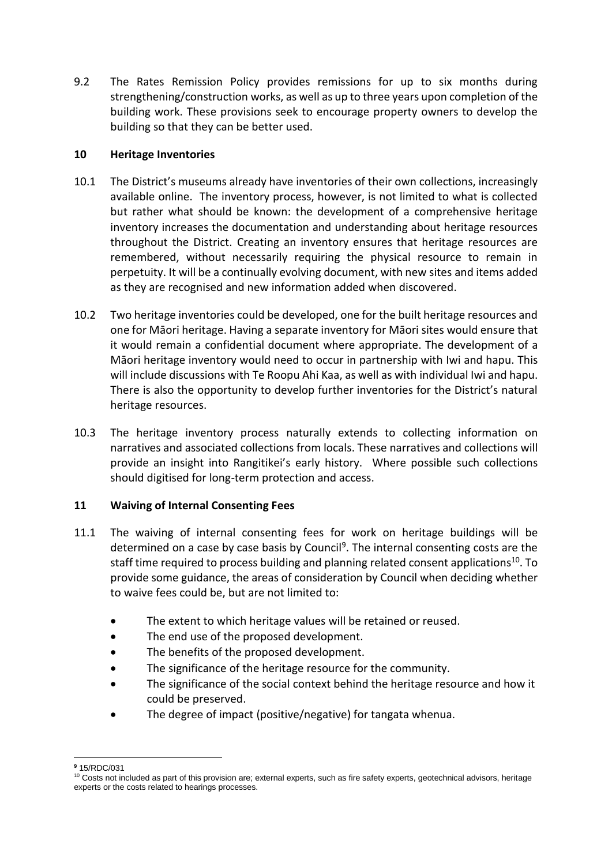9.2 The Rates Remission Policy provides remissions for up to six months during strengthening/construction works, as well as up to three years upon completion of the building work. These provisions seek to encourage property owners to develop the building so that they can be better used.

## **10 Heritage Inventories**

- 10.1 The District's museums already have inventories of their own collections, increasingly available online. The inventory process, however, is not limited to what is collected but rather what should be known: the development of a comprehensive heritage inventory increases the documentation and understanding about heritage resources throughout the District. Creating an inventory ensures that heritage resources are remembered, without necessarily requiring the physical resource to remain in perpetuity. It will be a continually evolving document, with new sites and items added as they are recognised and new information added when discovered.
- 10.2 Two heritage inventories could be developed, one for the built heritage resources and one for Māori heritage. Having a separate inventory for Māori sites would ensure that it would remain a confidential document where appropriate. The development of a Māori heritage inventory would need to occur in partnership with Iwi and hapu. This will include discussions with Te Roopu Ahi Kaa, as well as with individual Iwi and hapu. There is also the opportunity to develop further inventories for the District's natural heritage resources.
- 10.3 The heritage inventory process naturally extends to collecting information on narratives and associated collections from locals. These narratives and collections will provide an insight into Rangitikei's early history. Where possible such collections should digitised for long-term protection and access.

## **11 Waiving of Internal Consenting Fees**

- 11.1 The waiving of internal consenting fees for work on heritage buildings will be determined on a case by case basis by Council<sup>9</sup>. The internal consenting costs are the staff time required to process building and planning related consent applications<sup>10</sup>. To provide some guidance, the areas of consideration by Council when deciding whether to waive fees could be, but are not limited to:
	- The extent to which heritage values will be retained or reused.
	- The end use of the proposed development.
	- The benefits of the proposed development.
	- The significance of the heritage resource for the community.
	- The significance of the social context behind the heritage resource and how it could be preserved.
	- The degree of impact (positive/negative) for tangata whenua.

<sup>1</sup> **<sup>9</sup>** 15/RDC/031

<sup>&</sup>lt;sup>10</sup> Costs not included as part of this provision are; external experts, such as fire safety experts, geotechnical advisors, heritage experts or the costs related to hearings processes.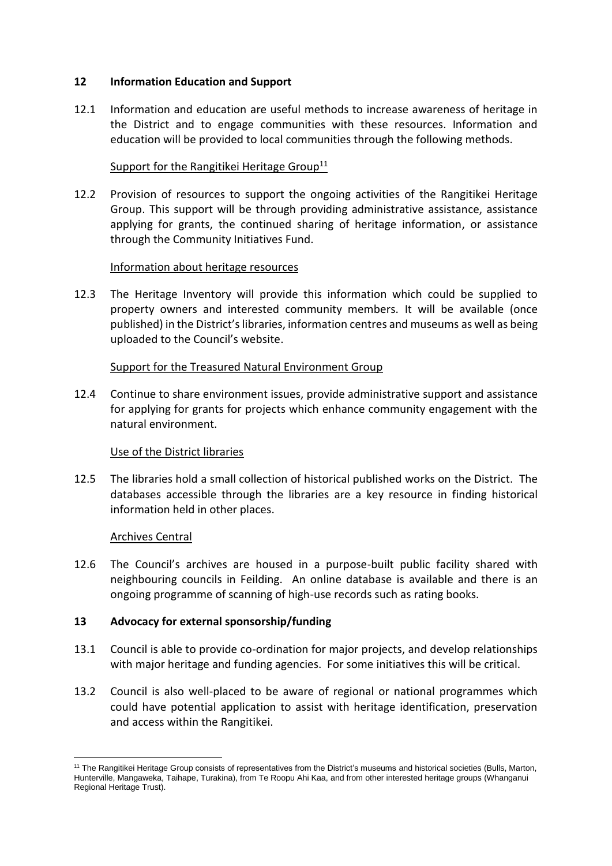#### **12 Information Education and Support**

12.1 Information and education are useful methods to increase awareness of heritage in the District and to engage communities with these resources. Information and education will be provided to local communities through the following methods.

### Support for the Rangitikei Heritage Group<sup>11</sup>

12.2 Provision of resources to support the ongoing activities of the Rangitikei Heritage Group. This support will be through providing administrative assistance, assistance applying for grants, the continued sharing of heritage information, or assistance through the Community Initiatives Fund.

#### Information about heritage resources

12.3 The Heritage Inventory will provide this information which could be supplied to property owners and interested community members. It will be available (once published) in the District's libraries, information centres and museums as well as being uploaded to the Council's website.

#### Support for the Treasured Natural Environment Group

12.4 Continue to share environment issues, provide administrative support and assistance for applying for grants for projects which enhance community engagement with the natural environment.

#### Use of the District libraries

12.5 The libraries hold a small collection of historical published works on the District. The databases accessible through the libraries are a key resource in finding historical information held in other places.

#### Archives Central

1

12.6 The Council's archives are housed in a purpose-built public facility shared with neighbouring councils in Feilding. An online database is available and there is an ongoing programme of scanning of high-use records such as rating books.

#### **13 Advocacy for external sponsorship/funding**

- 13.1 Council is able to provide co-ordination for major projects, and develop relationships with major heritage and funding agencies. For some initiatives this will be critical.
- 13.2 Council is also well-placed to be aware of regional or national programmes which could have potential application to assist with heritage identification, preservation and access within the Rangitikei.

<sup>&</sup>lt;sup>11</sup> The Rangitikei Heritage Group consists of representatives from the District's museums and historical societies (Bulls, Marton, Hunterville, Mangaweka, Taihape, Turakina), from Te Roopu Ahi Kaa, and from other interested heritage groups (Whanganui Regional Heritage Trust).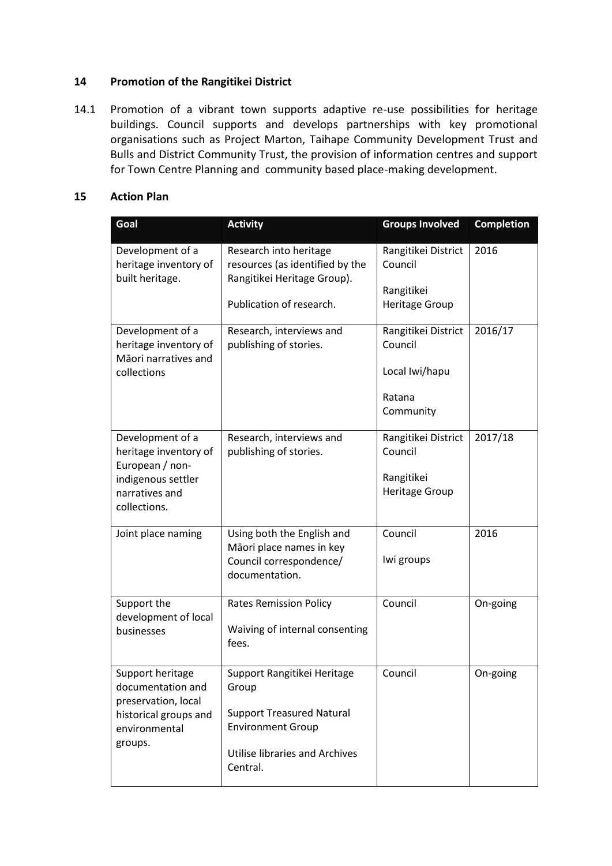#### **14 Promotion of the Rangitikei District**

14.1 Promotion of a vibrant town supports adaptive re-use possibilities for heritage buildings. Council supports and develops partnerships with key promotional organisations such as Project Marton, Taihape Community Development Trust and Bulls and District Community Trust, the provision of information centres and support for Town Centre Planning and community based place-making development.

#### **15 Action Plan**

| Goal                                                                                                   | <b>Activity</b>                                                                          | <b>Groups Involved</b>              | <b>Completion</b> |
|--------------------------------------------------------------------------------------------------------|------------------------------------------------------------------------------------------|-------------------------------------|-------------------|
| Development of a<br>heritage inventory of<br>built heritage.                                           | Research into heritage<br>resources (as identified by the<br>Rangitikei Heritage Group). | Rangitikei District<br>Council      | 2016              |
|                                                                                                        | Publication of research.                                                                 | Rangitikei<br>Heritage Group        |                   |
| Development of a<br>heritage inventory of<br>Māori narratives and<br>collections                       | Research, interviews and<br>publishing of stories.                                       | Rangitikei District<br>Council      | 2016/17           |
|                                                                                                        |                                                                                          | Local Iwi/hapu                      |                   |
|                                                                                                        |                                                                                          | Ratana<br>Community                 |                   |
| Development of a<br>heritage inventory of<br>European / non-                                           | Research, interviews and<br>publishing of stories.                                       | Rangitikei District<br>Council      | 2017/18           |
| indigenous settler<br>narratives and<br>collections.                                                   |                                                                                          | Rangitikei<br><b>Heritage Group</b> |                   |
| Joint place naming                                                                                     | Using both the English and<br>Māori place names in key                                   | Council                             | 2016              |
|                                                                                                        | Council correspondence/<br>documentation.                                                | Iwi groups                          |                   |
| Support the<br>development of local<br>businesses                                                      | <b>Rates Remission Policy</b>                                                            | Council                             | On-going          |
|                                                                                                        | Waiving of internal consenting<br>fees.                                                  |                                     |                   |
| Support heritage<br>documentation and<br>preservation, local<br>historical groups and<br>environmental | Support Rangitikei Heritage<br>Group                                                     | Council                             | On-going          |
|                                                                                                        | <b>Support Treasured Natural</b><br><b>Environment Group</b>                             |                                     |                   |
| groups.                                                                                                | <b>Utilise libraries and Archives</b><br>Central.                                        |                                     |                   |